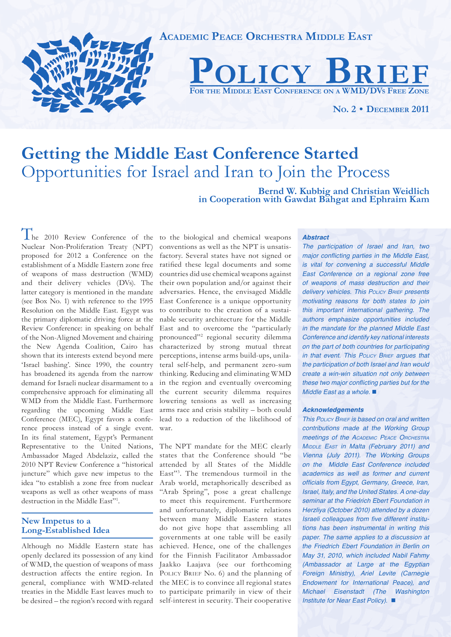

# **Getting the Middle East Conference Started**  Opportunities for Israel and Iran to Join the Process

**Bernd W. Kubbig and Christian Weidlich in Cooperation with Gawdat Bahgat and Ephraim Kam**

The 2010 Review Conference of the to the biological and chemical weapons Nuclear Non-Proliferation Treaty (NPT) proposed for 2012 a Conference on the establishment of a Middle Eastern zone free of weapons of mass destruction (WMD) and their delivery vehicles (DVs). The latter category is mentioned in the mandate (see Box No. 1) with reference to the 1995 Resolution on the Middle East. Egypt was the primary diplomatic driving force at the Review Conference: in speaking on behalf of the Non-Aligned Movement and chairing the New Agenda Coalition, Cairo has shown that its interests extend beyond mere 'Israel bashing'. Since 1990, the country has broadened its agenda from the narrow demand for Israeli nuclear disarmament to a comprehensive approach for eliminating all WMD from the Middle East. Furthermore regarding the upcoming Middle East Conference (MEC), Egypt favors a conference process instead of a single event. In its final statement, Egypt's Permanent Representative to the United Nations, Ambassador Maged Abdelaziz, called the 2010 NPT Review Conference a "historical juncture" which gave new impetus to the idea "to establish a zone free from nuclear weapons as well as other weapons of mass destruction in the Middle East"1 .

# **New Impetus to a Long-Established Idea**

Although no Middle Eastern state has openly declared its possession of any kind of WMD, the question of weapons of mass destruction affects the entire region. In general, compliance with WMD-related treaties in the Middle East leaves much to be desired – the region's record with regard conventions as well as the NPT is unsatisfactory. Several states have not signed or ratified these legal documents and some countries did use chemical weapons against their own population and/or against their adversaries. Hence, the envisaged Middle East Conference is a unique opportunity to contribute to the creation of a sustainable security architecture for the Middle East and to overcome the "particularly pronounced"<sup>2</sup> regional security dilemma characterized by strong mutual threat perceptions, intense arms build-ups, unilateral self-help, and permanent zero-sum thinking. Reducing and eliminating WMD in the region and eventually overcoming the current security dilemma requires lowering tensions as well as increasing arms race and crisis stability – both could lead to a reduction of the likelihood of war.

The NPT mandate for the MEC clearly states that the Conference should "be attended by all States of the Middle East"3 . The tremendous turmoil in the Arab world, metaphorically described as "Arab Spring", pose a great challenge to meet this requirement. Furthermore and unfortunately, diplomatic relations between many Middle Eastern states do not give hope that assembling all governments at one table will be easily achieved. Hence, one of the challenges for the Finnish Facilitator Ambassador Jaakko Laajava (see our forthcoming POLICY BRIEF No. 6) and the planning of the MEC is to convince all regional states to participate primarily in view of their self-interest in security. Their cooperative

#### *Abstract*

*The participation of Israel and Iran, two*  major conflicting parties in the Middle East, is vital for convening a successful Middle East Conference on a regional zone free of weapons of mass destruction and their *delivery vehicles. This POLICY BRIEF presents*  motivating reasons for both states to join this important international gathering. The authors emphasize opportunities included in the mandate for the planned Middle East Conference and identify key national interests on the part of both countries for participating *in that event. This POLICY BRIEF* argues that the participation of both Israel and Iran would create a win-win situation not only between these two major conflicting parties but for the Middle East as a whole. ■

#### *Acknowledgements*

*This POLICY BRIEF* is based on oral and written contributions made at the Working Group meetings of the *ACADEMIC PEACE ORCHESTRA MIDDLE EAST* in Malta (February 2011) and Vienna (July 2011). The Working Groups on the Middle East Conference included academics as well as former and current officials from Egypt, Germany, Greece, Iran, *Israel, Italy, and the United States. A one-day*  seminar at the Friedrich Ebert Foundation in Herzliya (October 2010) attended by a dozen Israeli colleagues from five different institutions has been instrumental in writing this paper. The same applies to a discussion at the Friedrich Ebert Foundation in Berlin on May 31, 2010, which included Nabil Fahmy (Ambassador at Large at the Egyptian Foreign Ministry), Ariel Levite (Carnegie Endowment for International Peace), and Michael Eisenstadt (The Washington Institute for Near East Policy). ■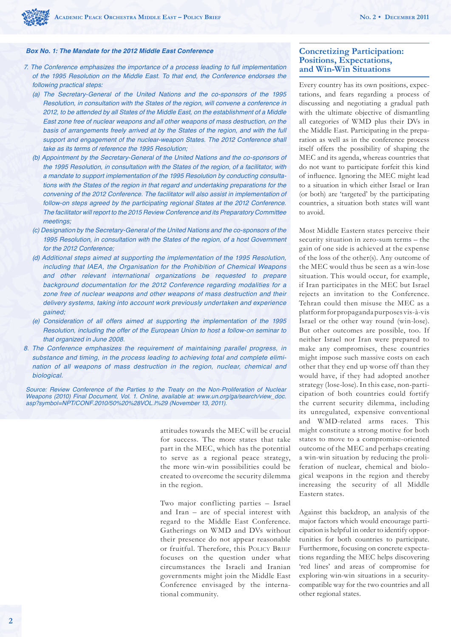

#### *Box No. 1: The Mandate for the 2012 Middle East Conference*

- 7. The Conference emphasizes the importance of a process leading to full implementation of the 1995 Resolution on the Middle East. To that end, the Conference endorses the following practical steps:
	- (a) The Secretary-General of the United Nations and the co-sponsors of the 1995 Resolution, in consultation with the States of the region, will convene a conference in 2012, to be attended by all States of the Middle East, on the establishment of a Middle East zone free of nuclear weapons and all other weapons of mass destruction, on the basis of arrangements freely arrived at by the States of the region, and with the full support and engagement of the nuclear-weapon States. The 2012 Conference shall take as its terms of reference the 1995 Resolution;
	- (b) Appointment by the Secretary-General of the United Nations and the co-sponsors of the 1995 Resolution, in consultation with the States of the region, of a facilitator, with a mandate to support implementation of the 1995 Resolution by conducting consultations with the States of the region in that regard and undertaking preparations for the convening of the 2012 Conference. The facilitator will also assist in implementation of follow-on steps agreed by the participating regional States at the 2012 Conference. The facilitator will report to the 2015 Review Conference and its Preparatory Committee meetings;
	- (c) Designation by the Secretary-General of the United Nations and the co-sponsors of the 1995 Resolution, in consultation with the States of the region, of a host Government for the 2012 Conference;
	- (d) Additional steps aimed at supporting the implementation of the 1995 Resolution, including that IAEA, the Organisation for the Prohibition of Chemical Weapons and other relevant international organizations be requested to prepare background documentation for the 2012 Conference regarding modalities for a zone free of nuclear weapons and other weapons of mass destruction and their delivery systems, taking into account work previously undertaken and experience gained;
	- (e) Consideration of all offers aimed at supporting the implementation of the 1995 Resolution, including the offer of the European Union to host a follow-on seminar to that organized in June 2008.
- 8. The Conference emphasizes the requirement of maintaining parallel progress, in substance and timing, in the process leading to achieving total and complete elimination of all weapons of mass destruction in the region, nuclear, chemical and biological.

Source: Review Conference of the Parties to the Treaty on the Non-Proliferation of Nuclear Weapons (2010) Final Document, Vol. 1. Online, available at: www.un.org/ga/search/view\_doc. asp?symbol=NPT/CONF.2010/50%20%28VOL.I%29 (November 13, 2011).

> attitudes towards the MEC will be crucial for success. The more states that take part in the MEC, which has the potential to serve as a regional peace strategy, the more win-win possibilities could be created to overcome the security dilemma in the region.

> Two major conflicting parties – Israel and Iran – are of special interest with regard to the Middle East Conference. Gatherings on WMD and DVs without their presence do not appear reasonable or fruitful. Therefore, this POLICY BRIEF focuses on the question under what circumstances the Israeli and Iranian governments might join the Middle East Conference envisaged by the international community.

# **Concretizing Participation: Positions, Expectations, and Win-Win Situations**

Every country has its own positions, expectations, and fears regarding a process of discussing and negotiating a gradual path with the ultimate objective of dismantling all categories of WMD plus their DVs in the Middle East. Participating in the preparation as well as in the conference process itself offers the possibility of shaping the MEC and its agenda, whereas countries that do not want to participate forfeit this kind of influence. Ignoring the MEC might lead to a situation in which either Israel or Iran (or both) are 'targeted' by the participating countries, a situation both states will want to avoid.

Most Middle Eastern states perceive their security situation in zero-sum terms – the gain of one side is achieved at the expense of the loss of the other(s). Any outcome of the MEC would thus be seen as a win-lose situation. This would occur, for example, if Iran participates in the MEC but Israel rejects an invitation to the Conference. Tehran could then misuse the MEC as a platform for propaganda purposes vis-à-vis Israel or the other way round (win-lose). But other outcomes are possible, too. If neither Israel nor Iran were prepared to make any compromises, these countries might impose such massive costs on each other that they end up worse off than they would have, if they had adopted another strategy (lose-lose). In this case, non-participation of both countries could fortify the current security dilemma, including its unregulated, expensive conventional and WMD-related arms races. This might constitute a strong motive for both states to move to a compromise-oriented outcome of the MEC and perhaps creating a win-win situation by reducing the proliferation of nuclear, chemical and biological weapons in the region and thereby increasing the security of all Middle Eastern states.

Against this backdrop, an analysis of the major factors which would encourage participation is helpful in order to identify opportunities for both countries to participate. Furthermore, focusing on concrete expectations regarding the MEC helps discovering 'red lines' and areas of compromise for exploring win-win situations in a securitycompatible way for the two countries and all other regional states.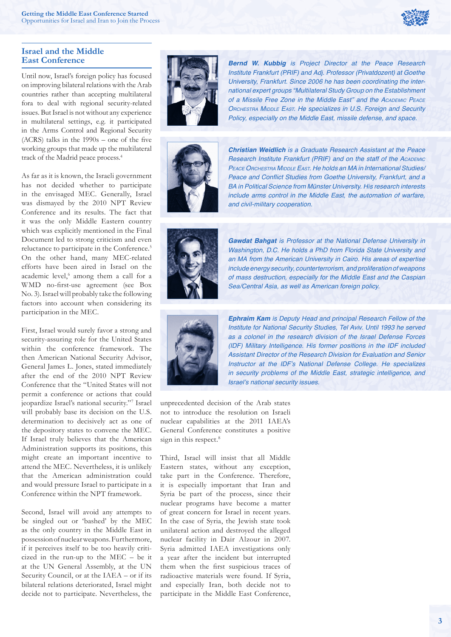

# **Israel and the Middle East Conference**

Until now, Israel's foreign policy has focused on improving bilateral relations with the Arab countries rather than accepting multilateral fora to deal with regional security-related issues. But Israel is not without any experience in multilateral settings, e.g. it participated in the Arms Control and Regional Security  $(ACRS)$  talks in the 1990s – one of the five working groups that made up the multilateral track of the Madrid peace process.4

As far as it is known, the Israeli government has not decided whether to participate in the envisaged MEC. Generally, Israel was dismayed by the 2010 NPT Review Conference and its results. The fact that it was the only Middle Eastern country which was explicitly mentioned in the Final Document led to strong criticism and even reluctance to participate in the Conference.<sup>5</sup> On the other hand, many MEC-related efforts have been aired in Israel on the academic level,<sup>6</sup> among them a call for a WMD no-first-use agreement (see Box No. 3). Israel will probably take the following factors into account when considering its participation in the MEC.

First, Israel would surely favor a strong and security-assuring role for the United States within the conference framework. The then American National Security Advisor, General James L. Jones, stated immediately after the end of the 2010 NPT Review Conference that the "United States will not permit a conference or actions that could jeopardize Israel's national security."7 Israel will probably base its decision on the U.S. determination to decisively act as one of the depository states to convene the MEC. If Israel truly believes that the American Administration supports its positions, this might create an important incentive to attend the MEC. Nevertheless, it is unlikely that the American administration could and would pressure Israel to participate in a Conference within the NPT framework.

Second, Israel will avoid any attempts to be singled out or 'bashed' by the MEC as the only country in the Middle East in possession of nuclear weapons. Furthermore, if it perceives itself to be too heavily criticized in the run-up to the MEC – be it at the UN General Assembly, at the UN Security Council, or at the IAEA – or if its bilateral relations deteriorated, Israel might decide not to participate. Nevertheless, the



*Bernd W. Kubbig* is Project Director at the Peace Research Institute Frankfurt (PRIF) and Adj. Professor (Privatdozent) at Goethe University, Frankfurt. Since 2006 he has been coordinating the international expert groups "Multilateral Study Group on the Establishment of a Missile Free Zone in the Middle East" and the *ACADEMIC PEACE ORCHESTRA MIDDLE EAST*. He specializes in U.S. Foreign and Security Policy, especially on the Middle East, missile defense, and space.



*Christian Weidlich* is a Graduate Research Assistant at the Peace Research Institute Frankfurt (PRIF) and on the staff of the *ACADEMIC PEACE ORCHESTRA MIDDLE EAST*. He holds an MA in International Studies/ Peace and Conflict Studies from Goethe University, Frankfurt, and a BA in Political Science from Münster University. His research interests include arms control in the Middle East, the automation of warfare, *and civil-military cooperation.*



*Gawdat Bahgat* is Professor at the National Defense University in Washington, D.C. He holds a PhD from Florida State University and an MA from the American University in Cairo. His areas of expertise include energy security, counterterrorism, and proliferation of weapons of mass destruction, especially for the Middle East and the Caspian Sea/Central Asia, as well as American foreign policy.



*Ephraim Kam* is Deputy Head and principal Research Fellow of the Institute for National Security Studies, Tel Aviv. Until 1993 he served as a colonel in the research division of the Israel Defense Forces (IDF) Military Intelligence. His former positions in the IDF included Assistant Director of the Research Division for Evaluation and Senior Instructor at the IDF's National Defense College. He specializes in security problems of the Middle East, strategic intelligence, and Israel's national security issues.

unprecedented decision of the Arab states not to introduce the resolution on Israeli nuclear capabilities at the 2011 IAEA's General Conference constitutes a positive sign in this respect.<sup>8</sup>

Third, Israel will insist that all Middle Eastern states, without any exception, take part in the Conference. Therefore, it is especially important that Iran and Syria be part of the process, since their nuclear programs have become a matter of great concern for Israel in recent years. In the case of Syria, the Jewish state took unilateral action and destroyed the alleged nuclear facility in Dair Alzour in 2007. Syria admitted IAEA investigations only a year after the incident but interrupted them when the first suspicious traces of radioactive materials were found. If Syria, and especially Iran, both decide not to participate in the Middle East Conference,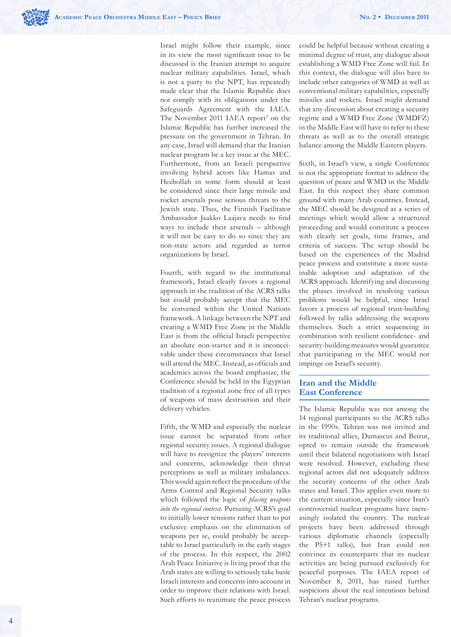

Israel might follow their example, since in its view the most significant issue to be discussed is the Iranian attempt to acquire nuclear military capabilities. Israel, which is not a party to the NPT, has repeatedly made clear that the Islamic Republic does not comply with its obligations under the Safeguards Agreement with the IAEA. The November 2011 IAEA report<sup>9</sup> on the Islamic Republic has further increased the pressure on the government in Tehran. In any case, Israel will demand that the Iranian nuclear program be a key issue at the MEC. Furthermore, from an Israeli perspective involving hybrid actors like Hamas and Hezbollah in some form should at least be considered since their large missile and rocket arsenals pose serious threats to the Jewish state. Thus, the Finnish Facilitator Ambassador Jaakko Laajava needs to find ways to include their arsenals – although it will not be easy to do so since they are non-state actors and regarded as terror organizations by Israel.

Fourth, with regard to the institutional framework, Israel clearly favors a regional approach in the tradition of the ACRS talks but could probably accept that the MEC be convened within the United Nations framework. A linkage between the NPT and creating a WMD Free Zone in the Middle East is from the official Israeli perspective an absolute non-starter and it is inconceivable under these circumstances that Israel will attend the MEC. Instead, as officials and academics across the board emphasize, the Conference should be held in the Egyptian tradition of a regional zone free of all types of weapons of mass destruction and their delivery vehicles.

Fifth, the WMD and especially the nuclear issue cannot be separated from other regional security issues. A regional dialogue will have to recognize the players' interests and concerns, acknowledge their threat perceptions as well as military imbalances. This would again reflect the procedure of the Arms Control and Regional Security talks which followed the logic of *placing weapons into the regional context*. Pursuing ACRS's goal to initially lower tensions rather than to put exclusive emphasis on the elimination of weapons per se, could probably be acceptable to Israel particularly in the early stages of the process. In this respect, the 2002 Arab Peace Initiative is living proof that the Arab states are willing to seriously take basic Israeli interests and concerns into account in order to improve their relations with Israel. Such efforts to reanimate the peace process

could be helpful because without creating a minimal degree of trust, any dialogue about establishing a WMD Free Zone will fail. In this context, the dialogue will also have to include other categories of WMD as well as conventional military capabilities, especially missiles and rockets. Israel might demand that any discussion about creating a security regime and a WMD Free Zone (WMDFZ) in the Middle East will have to refer to these threats as well as to the overall strategic balance among the Middle Eastern players.

Sixth, in Israel's view, a single Conference is not the appropriate format to address the question of peace and WMD in the Middle East. In this respect they share common ground with many Arab countries. Instead, the MEC should be designed as a series of meetings which would allow a structured proceeding and would constitute a process with clearly set goals, time frames, and criteria of success. The setup should be based on the experiences of the Madrid peace process and constitute a more sustainable adoption and adaptation of the ACRS approach. Identifying and discussing the phases involved in resolving various problems would be helpful, since Israel favors a process of regional trust-building followed by talks addressing the weapons themselves. Such a strict sequencing in combination with resilient confidence- and security-building measures would guarantee that participating in the MEC would not impinge on Israel's security.

# **Iran and the Middle East Conference**

The Islamic Republic was not among the 14 regional participants to the ACRS talks in the 1990s. Tehran was not invited and its traditional allies, Damascus and Beirut, opted to remain outside the framework until their bilateral negotiations with Israel were resolved. However, excluding these regional actors did not adequately address the security concerns of the other Arab states and Israel. This applies even more to the current situation, especially since Iran's controversial nuclear programs have increasingly isolated the country. The nuclear projects have been addressed through various diplomatic channels (especially the P5+1 talks), but Iran could not convince its counterparts that its nuclear activities are being pursued exclusively for peaceful purposes. The IAEA report of November 8, 2011, has raised further suspicions about the real intentions behind Tehran's nuclear programs.

**4**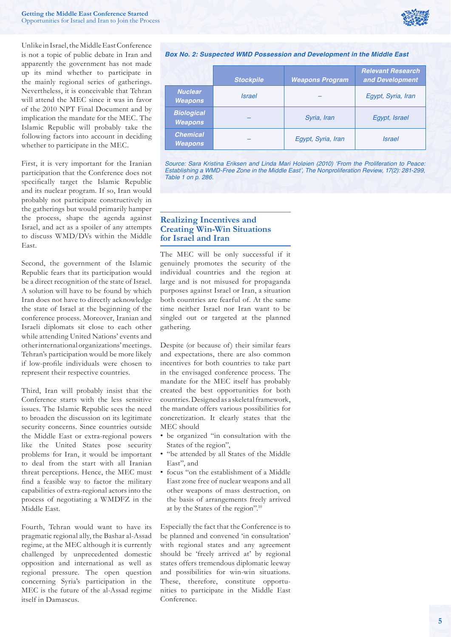

Unlike in Israel, the Middle East Conference is not a topic of public debate in Iran and apparently the government has not made up its mind whether to participate in the mainly regional series of gatherings. Nevertheless, it is conceivable that Tehran will attend the MEC since it was in favor of the 2010 NPT Final Document and by implication the mandate for the MEC. The Islamic Republic will probably take the following factors into account in deciding whether to participate in the MEC.

First, it is very important for the Iranian participation that the Conference does not specifically target the Islamic Republic and its nuclear program. If so, Iran would probably not participate constructively in the gatherings but would primarily hamper the process, shape the agenda against Israel, and act as a spoiler of any attempts to discuss WMD/DVs within the Middle East.

Second, the government of the Islamic Republic fears that its participation would be a direct recognition of the state of Israel. A solution will have to be found by which Iran does not have to directly acknowledge the state of Israel at the beginning of the conference process. Moreover, Iranian and Israeli diplomats sit close to each other while attending United Nations' events and other international organizations' meetings. Tehran's participation would be more likely if low-profile individuals were chosen to represent their respective countries.

Third, Iran will probably insist that the Conference starts with the less sensitive issues. The Islamic Republic sees the need to broaden the discussion on its legitimate security concerns. Since countries outside the Middle East or extra-regional powers like the United States pose security problems for Iran, it would be important to deal from the start with all Iranian threat perceptions. Hence, the MEC must find a feasible way to factor the military capabilities of extra-regional actors into the process of negotiating a WMDFZ in the Middle East.

Fourth, Tehran would want to have its pragmatic regional ally, the Bashar al-Assad regime, at the MEC although it is currently challenged by unprecedented domestic opposition and international as well as regional pressure. The open question concerning Syria's participation in the MEC is the future of the al-Assad regime itself in Damascus.

#### *Box No. 2: Suspected WMD Possession and Development in the Middle East*

|                                     | <b>Stockpile</b> | <b>Weapons Program</b> | <b>Relevant Research</b><br>and Development |
|-------------------------------------|------------------|------------------------|---------------------------------------------|
| <b>Nuclear</b><br><b>Weapons</b>    | <b>Israel</b>    |                        | Egypt, Syria, Iran                          |
| <b>Biological</b><br><b>Weapons</b> |                  | Syria, Iran            | Egypt, Israel                               |
| <b>Chemical</b><br><b>Weapons</b>   |                  | Egypt, Syria, Iran     | <b>Israel</b>                               |

Source: Sara Kristina Eriksen and Linda Mari Holøien (2010) 'From the Proliferation to Peace: Establishing a WMD-Free Zone in the Middle East', The Nonproliferation Review, 17(2): 281-299, Table 1 on p. 286.

# **Realizing Incentives and Creating Win-Win Situations for Israel and Iran**

The MEC will be only successful if it genuinely promotes the security of the individual countries and the region at large and is not misused for propaganda purposes against Israel or Iran, a situation both countries are fearful of. At the same time neither Israel nor Iran want to be singled out or targeted at the planned gathering.

Despite (or because of) their similar fears and expectations, there are also common incentives for both countries to take part in the envisaged conference process. The mandate for the MEC itself has probably created the best opportunities for both countries. Designed as a skeletal framework, the mandate offers various possibilities for concretization. It clearly states that the MEC should

- be organized "in consultation with the States of the region",
- "be attended by all States of the Middle East", and
- focus "on the establishment of a Middle East zone free of nuclear weapons and all other weapons of mass destruction, on the basis of arrangements freely arrived at by the States of the region".10

Especially the fact that the Conference is to be planned and convened 'in consultation' with regional states and any agreement should be 'freely arrived at' by regional states offers tremendous diplomatic leeway and possibilities for win-win situations. These, therefore, constitute opportunities to participate in the Middle East Conference.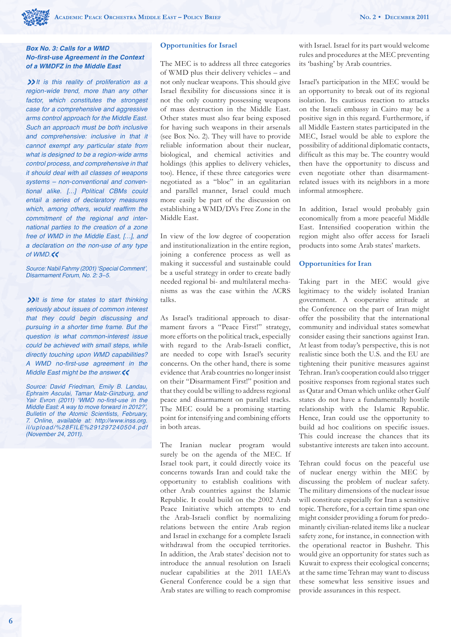## *Box No. 3: Calls for a WMD*  **No-first-use Agreement in the Context** *of a WMDFZ in the Middle East*

*»It is this reality of proliferation as a*  region-wide trend, more than any other factor, which constitutes the strongest case for a comprehensive and aggressive arms control approach for the Middle East. Such an approach must be both inclusive and comprehensive: inclusive in that it cannot exempt any particular state from what is designed to be a region-wide arms *control process, and comprehensive in that*  it should deal with all classes of weapons *systems – non-conventional and conven*tional alike. […] Political CBMs could entail a series of declaratory measures which, among others, would reaffirm the commitment of the regional and international parties to the creation of a zone free of WMD in the Middle East, […], and a declaration on the non-use of any type of WMD.*«*

Source: Nabil Fahmy (2001) 'Special Comment', Disarmament Forum, No. 2: 3–5.

*»*It is time for states to start thinking seriously about issues of common interest that they could begin discussing and pursuing in a shorter time frame. But the question is what common-interest issue could be achieved with small steps, while directly touching upon WMD capabilities? A WMD no-first-use agreement in the Middle East might be the answer.*«*

Source: David Friedman, Emily B. Landau, Ephraim Asculai, Tamar Malz-Ginzburg, and Yair Evron (2011) 'WMD no-first-use in the Middle East: A way to move forward in 2012?', Bulletin of the Atomic Scientists, February, 7. Online, available at: http://www.inss.org. il/upload/%28FILE%291297240504.pdf (November 24, 2011).

#### **Opportunities for Israel**

The MEC is to address all three categories of WMD plus their delivery vehicles – and not only nuclear weapons. This should give Israel flexibility for discussions since it is not the only country possessing weapons of mass destruction in the Middle East. Other states must also fear being exposed for having such weapons in their arsenals (see Box No. 2). They will have to provide reliable information about their nuclear, biological, and chemical activities and holdings (this applies to delivery vehicles, too). Hence, if these three categories were negotiated as a "bloc" in an egalitarian and parallel manner, Israel could much more easily be part of the discussion on establishing a WMD/DVs Free Zone in the Middle East.

In view of the low degree of cooperation and institutionalization in the entire region, joining a conference process as well as making it successful and sustainable could be a useful strategy in order to create badly needed regional bi- and multilateral mechanisms as was the case within the ACRS talks.

As Israel's traditional approach to disarmament favors a "Peace First!" strategy, more efforts on the political track, especially with regard to the Arab-Israeli conflict, are needed to cope with Israel's security concerns. On the other hand, there is some evidence that Arab countries no longer insist on their "Disarmament First!" position and that they could be willing to address regional peace and disarmament on parallel tracks. The MEC could be a promising starting point for intensifying and combining efforts in both areas.

The Iranian nuclear program would surely be on the agenda of the MEC. If Israel took part, it could directly voice its concerns towards Iran and could take the opportunity to establish coalitions with other Arab countries against the Islamic Republic. It could build on the 2002 Arab Peace Initiative which attempts to end the Arab-Israeli conflict by normalizing relations between the entire Arab region and Israel in exchange for a complete Israeli withdrawal from the occupied territories. In addition, the Arab states' decision not to introduce the annual resolution on Israeli nuclear capabilities at the 2011 IAEA's General Conference could be a sign that Arab states are willing to reach compromise with Israel. Israel for its part would welcome rules and procedures at the MEC preventing its 'bashing' by Arab countries.

Israel's participation in the MEC would be an opportunity to break out of its regional isolation. Its cautious reaction to attacks on the Israeli embassy in Cairo may be a positive sign in this regard. Furthermore, if all Middle Eastern states participated in the MEC, Israel would be able to explore the possibility of additional diplomatic contacts, difficult as this may be. The country would then have the opportunity to discuss and even negotiate other than disarmamentrelated issues with its neighbors in a more informal atmosphere.

In addition, Israel would probably gain economically from a more peaceful Middle East. Intensified cooperation within the region might also offer access for Israeli products into some Arab states' markets.

## **Opportunities for Iran**

Taking part in the MEC would give legitimacy to the widely isolated Iranian government. A cooperative attitude at the Conference on the part of Iran might offer the possibility that the international community and individual states somewhat consider easing their sanctions against Iran. At least from today's perspective, this is not realistic since both the U.S. and the EU are tightening their punitive measures against Tehran. Iran's cooperation could also trigger positive responses from regional states such as Qatar and Oman which unlike other Gulf states do not have a fundamentally hostile relationship with the Islamic Republic. Hence, Iran could use the opportunity to build ad hoc coalitions on specific issues. This could increase the chances that its substantive interests are taken into account.

Tehran could focus on the peaceful use of nuclear energy within the MEC by discussing the problem of nuclear safety. The military dimensions of the nuclear issue will constitute especially for Iran a sensitive topic. Therefore, for a certain time span one might consider providing a forum for predominantly civilian-related items like a nuclear safety zone, for instance, in connection with the operational reactor in Bushehr. This would give an opportunity for states such as Kuwait to express their ecological concerns; at the same time Tehran may want to discuss these somewhat less sensitive issues and provide assurances in this respect.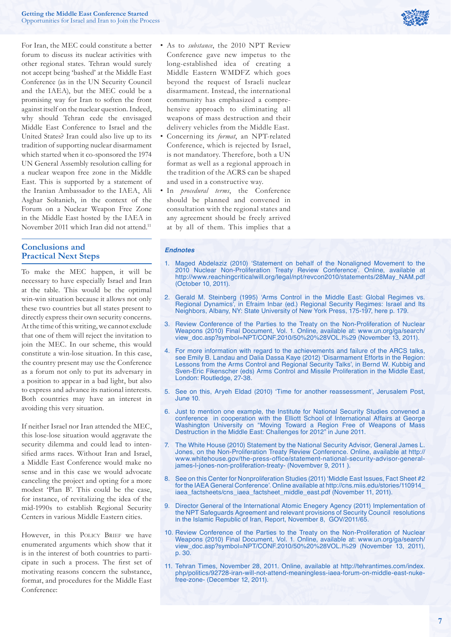

For Iran, the MEC could constitute a better forum to discuss its nuclear activities with other regional states. Tehran would surely not accept being 'bashed' at the Middle East Conference (as in the UN Security Council and the IAEA), but the MEC could be a promising way for Iran to soften the front against itself on the nuclear question. Indeed, why should Tehran cede the envisaged Middle East Conference to Israel and the United States? Iran could also live up to its tradition of supporting nuclear disarmament which started when it co-sponsored the 1974 UN General Assembly resolution calling for a nuclear weapon free zone in the Middle East. This is supported by a statement of the Iranian Ambassador to the IAEA, Ali Asghar Soltanieh, in the context of the Forum on a Nuclear Weapon Free Zone in the Middle East hosted by the IAEA in November 2011 which Iran did not attend.<sup>11</sup>

# **Conclusions and Practical Next Steps**

To make the MEC happen, it will be necessary to have especially Israel and Iran at the table. This would be the optimal win-win situation because it allows not only these two countries but all states present to directly express their own security concerns. At the time of this writing, we cannot exclude that one of them will reject the invitation to join the MEC. In our scheme, this would constitute a win-lose situation. In this case, the country present may use the Conference as a forum not only to put its adversary in a position to appear in a bad light, but also to express and advance its national interests. Both countries may have an interest in avoiding this very situation.

If neither Israel nor Iran attended the MEC, this lose-lose situation would aggravate the security dilemma and could lead to intensified arms races. Without Iran and Israel, a Middle East Conference would make no sense and in this case we would advocate canceling the project and opting for a more modest 'Plan B'. This could be the case, for instance, of revitalizing the idea of the mid-1990s to establish Regional Security Centers in various Middle Eastern cities.

However, in this POLICY BRIEF we have enumerated arguments which show that it is in the interest of both countries to participate in such a process. The first set of motivating reasons concern the substance, format, and procedures for the Middle East Conference:

- As to *substance*, the 2010 NPT Review Conference gave new impetus to the long-established idea of creating a Middle Eastern WMDFZ which goes beyond the request of Israeli nuclear disarmament. Instead, the international community has emphasized a comprehensive approach to eliminating all weapons of mass destruction and their delivery vehicles from the Middle East.
- Concerning its *format*, an NPT-related Conference, which is rejected by Israel, is not mandatory. Therefore, both a UN format as well as a regional approach in the tradition of the ACRS can be shaped and used in a constructive way.
- In *procedural terms*, the Conference should be planned and convened in consultation with the regional states and any agreement should be freely arrived at by all of them. This implies that a

#### *Endnotes*

- 1. Maged Abdelaziz (2010) 'Statement on behalf of the Nonaligned Movement to the 2010 Nuclear Non-Proliferation Treaty Review Conference'. Online, available at http://www.reachingcriticalwill.org/legal/npt/revcon2010/statements/28May\_NAM.pdf (October 10, 2011).
- 2. Gerald M. Steinberg (1995) 'Arms Control in the Middle East: Global Regimes vs. Regional Dynamics', in Efraim Inbar (ed.) Regional Security Regimes: Israel and Its Neighbors, Albany, NY: State University of New York Press, 175-197, here p. 179.
- 3. Review Conference of the Parties to the Treaty on the Non-Proliferation of Nuclear Weapons (2010) Final Document, Vol. 1. Online, available at: www.un.org/ga/search/ view\_doc.asp?symbol=NPT/CONF.2010/50%20%28VOL.I%29 (November 13, 2011).
- 4. For more information with regard to the achievements and failure of the ARCS talks, see Emily B. Landau and Dalia Dassa Kaye (2012) 'Disarmament Efforts in the Region: Lessons from the Arms Control and Regional Security Talks', in Bernd W. Kubbig and Sven-Eric Fikenscher (eds) Arms Control and Missile Proliferation in the Middle East, London: Routledge, 27-38.
- 5. See on this, Aryeh Eldad (2010) 'Time for another reassessment', Jerusalem Post, June 10.
- 6. Just to mention one example, the Institute for National Security Studies convened a conference in cooperation with the Elliott School of International Affairs at George Washington University on "Moving Toward a Region Free of Weapons of Mass Destruction in the Middle East: Challenges for 2012" in June 2011.
- 7. The White House (2010) Statement by the National Security Advisor, General James L. Jones, on the Non-Proliferation Treaty Review Conference. Online, available at http:// www.whitehouse.gov/the-press-office/statement-national-security-advisor-generaljames-l-jones-non-proliferation-treaty- (Novembver 9, 2011 ).
- 8. See on this Center for Nonproliferation Studies (2011) 'Middle East Issues, Fact Sheet #2 for the IAEA General Conference'. Online available at http://cns.miis.edu/stories/110914\_ iaea\_factsheets/cns\_iaea\_factsheet\_middle\_east.pdf (November 11, 2011).
- 9. Director General of the International Atomic Enegery Agency (2011) Implementation of the NPT Safeguards Agreement and relevant provisions of Security Council resolutions in the Islamic Republic of Iran, Report, November 8, GOV/2011/65.
- 10. Review Conference of the Parties to the Treaty on the Non-Proliferation of Nuclear Weapons (2010) Final Document, Vol. 1. Online, available at: www.un.org/ga/search/ view\_doc.asp?symbol=NPT/CONF.2010/50%20%28VOL.I%29 (November 13, 2011), p. 30.
- 11. Tehran Times, November 28, 2011. Online, available at http://tehrantimes.com/index. php/politics/92728-iran-will-not-attend-meaningless-iaea-forum-on-middle-east-nukefree-zone- (December 12, 2011).